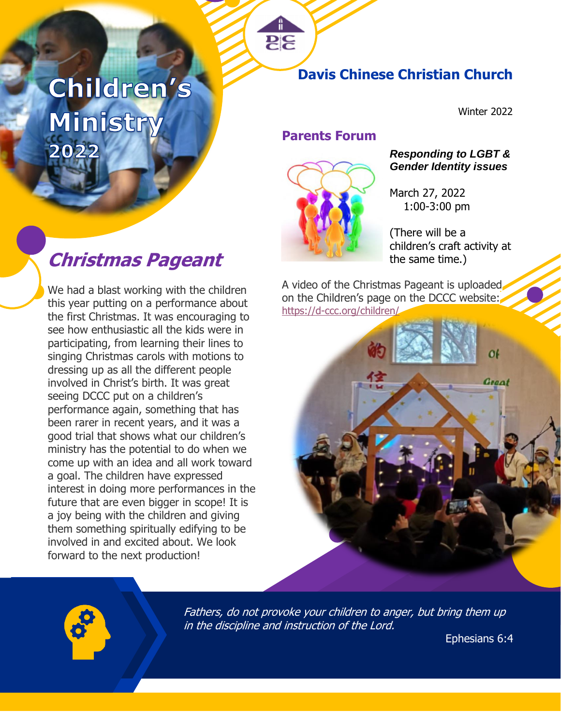# Children's Ministry 2022

### **Davis Chinese Christian Church**

Winter 2022

### **Parents Forum**

**25** 



### *Responding to LGBT & Gender Identity issues*

March 27, 2022 1:00-3:00 pm

(There will be a children's craft activity at

A video of the Christmas Pageant is uploaded on the Children's page on the DCCC website: <https://d-ccc.org/children/>





Fathers, do not provoke your children to anger, but bring them up in the discipline and instruction of the Lord.

Ephesians 6:4

## **Christmas Pageant** the same time.)

We had a blast working with the children this year putting on a performance about the first Christmas. It was encouraging to see how enthusiastic all the kids were in participating, from learning their lines to singing Christmas carols with motions to dressing up as all the different people involved in Christ's birth. It was great seeing DCCC put on a children's performance again, something that has been rarer in recent years, and it was a good trial that shows what our children's ministry has the potential to do when we come up with an idea and all work toward a goal. The children have expressed interest in doing more performances in the future that are even bigger in scope! It is a joy being with the children and giving them something spiritually edifying to be involved in and excited about. We look forward to the next production!